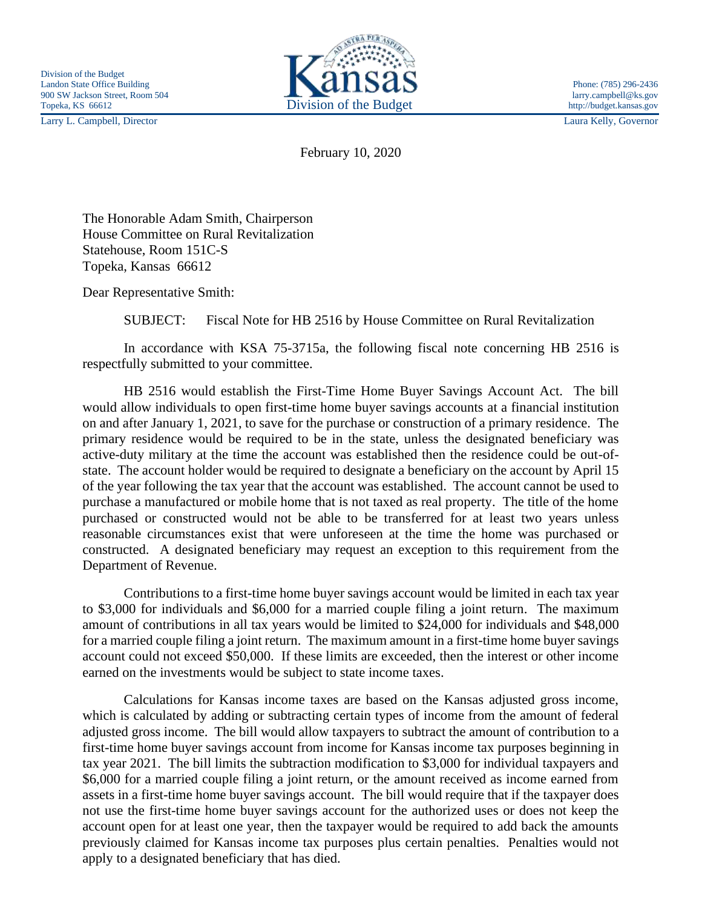Larry L. Campbell, Director Laura Kelly, Governor



February 10, 2020

The Honorable Adam Smith, Chairperson House Committee on Rural Revitalization Statehouse, Room 151C-S Topeka, Kansas 66612

Dear Representative Smith:

SUBJECT: Fiscal Note for HB 2516 by House Committee on Rural Revitalization

In accordance with KSA 75-3715a, the following fiscal note concerning HB 2516 is respectfully submitted to your committee.

HB 2516 would establish the First-Time Home Buyer Savings Account Act. The bill would allow individuals to open first-time home buyer savings accounts at a financial institution on and after January 1, 2021, to save for the purchase or construction of a primary residence. The primary residence would be required to be in the state, unless the designated beneficiary was active-duty military at the time the account was established then the residence could be out-ofstate. The account holder would be required to designate a beneficiary on the account by April 15 of the year following the tax year that the account was established. The account cannot be used to purchase a manufactured or mobile home that is not taxed as real property. The title of the home purchased or constructed would not be able to be transferred for at least two years unless reasonable circumstances exist that were unforeseen at the time the home was purchased or constructed. A designated beneficiary may request an exception to this requirement from the Department of Revenue.

Contributions to a first-time home buyer savings account would be limited in each tax year to \$3,000 for individuals and \$6,000 for a married couple filing a joint return. The maximum amount of contributions in all tax years would be limited to \$24,000 for individuals and \$48,000 for a married couple filing a joint return. The maximum amount in a first-time home buyer savings account could not exceed \$50,000. If these limits are exceeded, then the interest or other income earned on the investments would be subject to state income taxes.

Calculations for Kansas income taxes are based on the Kansas adjusted gross income, which is calculated by adding or subtracting certain types of income from the amount of federal adjusted gross income. The bill would allow taxpayers to subtract the amount of contribution to a first-time home buyer savings account from income for Kansas income tax purposes beginning in tax year 2021. The bill limits the subtraction modification to \$3,000 for individual taxpayers and \$6,000 for a married couple filing a joint return, or the amount received as income earned from assets in a first-time home buyer savings account. The bill would require that if the taxpayer does not use the first-time home buyer savings account for the authorized uses or does not keep the account open for at least one year, then the taxpayer would be required to add back the amounts previously claimed for Kansas income tax purposes plus certain penalties. Penalties would not apply to a designated beneficiary that has died.